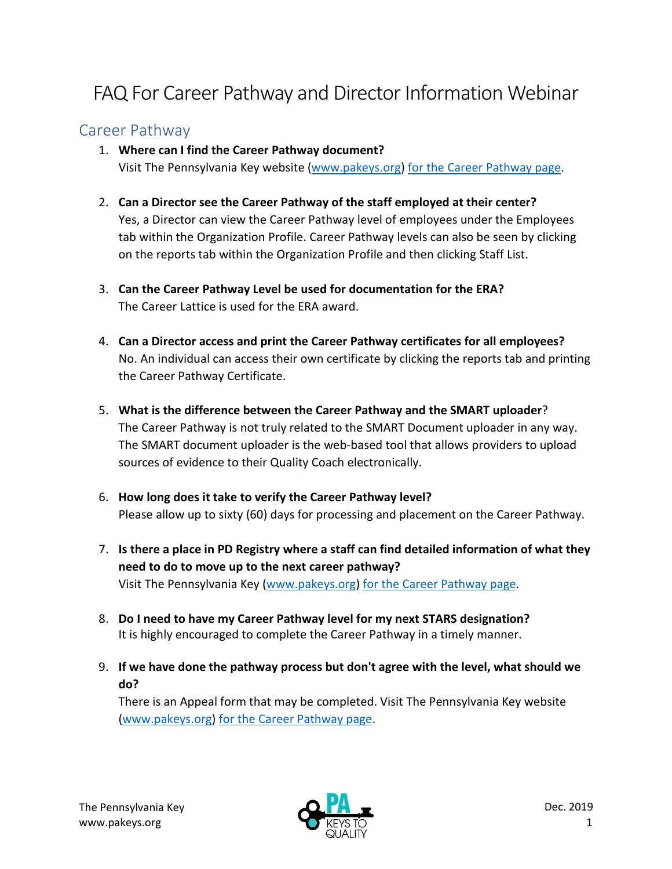# FAQ For Career Pathway and Director Information Webinar

# Career Pathway

#### 1. **Where can I find the Career Pathway document?**

Visit The Pennsylvania Key website [\(www.pakeys.org\)](http://www.pakeys.org/) [for the Career Pathway page.](https://www.pakeys.org/get-professional-development/career-pathway/)

- 2. **Can a Director see the Career Pathway of the staff employed at their center?** Yes, a Director can view the Career Pathway level of employees under the Employees tab within the Organization Profile. Career Pathway levels can also be seen by clicking on the reports tab within the Organization Profile and then clicking Staff List.
- 3. **Can the Career Pathway Level be used for documentation for the ERA?** The Career Lattice is used for the ERA award.
- 4. **Can a Director access and print the Career Pathway certificates for all employees?** No. An individual can access their own certificate by clicking the reports tab and printing the Career Pathway Certificate.
- 5. **What is the difference between the Career Pathway and the SMART uploader**? The Career Pathway is not truly related to the SMART Document uploader in any way. The SMART document uploader is the web-based tool that allows providers to upload sources of evidence to their Quality Coach electronically.
- 6. **How long does it take to verify the Career Pathway level?** Please allow up to sixty (60) days for processing and placement on the Career Pathway.
- 7. **Is there a place in PD Registry where a staff can find detailed information of what they need to do to move up to the next career pathway?** Visit The Pennsylvania Key [\(www.pakeys.org\)](http://www.pakeys.org/) [for the Career Pathway page.](https://www.pakeys.org/get-professional-development/career-pathway/)
- 8. **Do I need to have my Career Pathway level for my next STARS designation?** It is highly encouraged to complete the Career Pathway in a timely manner.
- 9. **If we have done the pathway process but don't agree with the level, what should we do?**

There is an Appeal form that may be completed. Visit The Pennsylvania Key website [\(www.pakeys.org\)](http://www.pakeys.org/) [for the Career Pathway page.](https://www.pakeys.org/get-professional-development/career-pathway/)

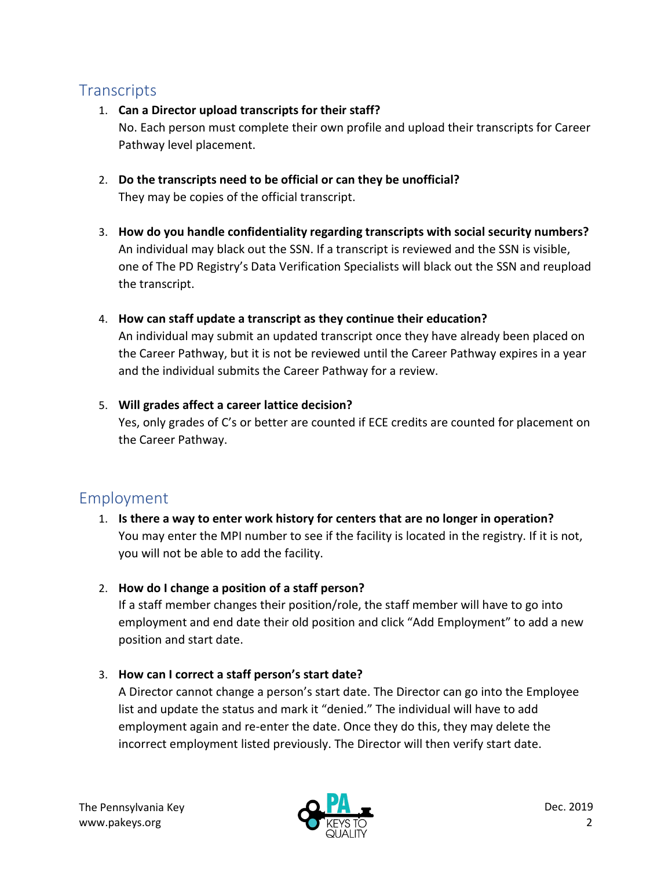# **Transcripts**

- 1. **Can a Director upload transcripts for their staff?** No. Each person must complete their own profile and upload their transcripts for Career Pathway level placement.
- 2. **Do the transcripts need to be official or can they be unofficial?**  They may be copies of the official transcript.
- 3. **How do you handle confidentiality regarding transcripts with social security numbers?** An individual may black out the SSN. If a transcript is reviewed and the SSN is visible, one of The PD Registry's Data Verification Specialists will black out the SSN and reupload the transcript.
- 4. **How can staff update a transcript as they continue their education?** An individual may submit an updated transcript once they have already been placed on the Career Pathway, but it is not be reviewed until the Career Pathway expires in a year and the individual submits the Career Pathway for a review.
- 5. **Will grades affect a career lattice decision?** Yes, only grades of C's or better are counted if ECE credits are counted for placement on the Career Pathway.

# Employment

- 1. **Is there a way to enter work history for centers that are no longer in operation?** You may enter the MPI number to see if the facility is located in the registry. If it is not, you will not be able to add the facility.
- 2. **How do I change a position of a staff person?**

If a staff member changes their position/role, the staff member will have to go into employment and end date their old position and click "Add Employment" to add a new position and start date.

3. **How can I correct a staff person's start date?**

A Director cannot change a person's start date. The Director can go into the Employee list and update the status and mark it "denied." The individual will have to add employment again and re-enter the date. Once they do this, they may delete the incorrect employment listed previously. The Director will then verify start date.

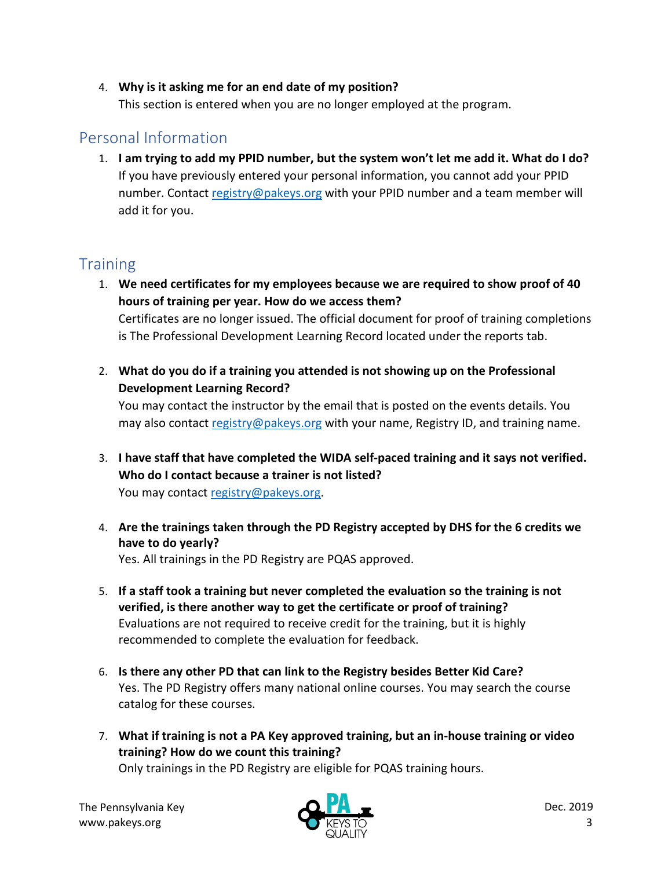#### 4. **Why is it asking me for an end date of my position?**

This section is entered when you are no longer employed at the program.

### Personal Information

1. **I am trying to add my PPID number, but the system won't let me add it. What do I do?** If you have previously entered your personal information, you cannot add your PPID number. Contact [registry@pakeys.org](mailto:registry@pakeys.org) with your PPID number and a team member will add it for you.

## **Training**

- 1. **We need certificates for my employees because we are required to show proof of 40 hours of training per year. How do we access them?** Certificates are no longer issued. The official document for proof of training completions is The Professional Development Learning Record located under the reports tab.
- 2. **What do you do if a training you attended is not showing up on the Professional Development Learning Record?**

You may contact the instructor by the email that is posted on the events details. You may also contact [registry@pakeys.org](mailto:registry@pakeys.org) with your name, Registry ID, and training name.

- 3. **I have staff that have completed the WIDA self-paced training and it says not verified. Who do I contact because a trainer is not listed?** You may contact [registry@pakeys.org.](mailto:registry@pakeys.org)
- 4. **Are the trainings taken through the PD Registry accepted by DHS for the 6 credits we have to do yearly?** Yes. All trainings in the PD Registry are PQAS approved.
- 5. **If a staff took a training but never completed the evaluation so the training is not verified, is there another way to get the certificate or proof of training?** Evaluations are not required to receive credit for the training, but it is highly recommended to complete the evaluation for feedback.
- 6. **Is there any other PD that can link to the Registry besides Better Kid Care?** Yes. The PD Registry offers many national online courses. You may search the course catalog for these courses.
- 7. **What if training is not a PA Key approved training, but an in-house training or video training? How do we count this training?**

Only trainings in the PD Registry are eligible for PQAS training hours.